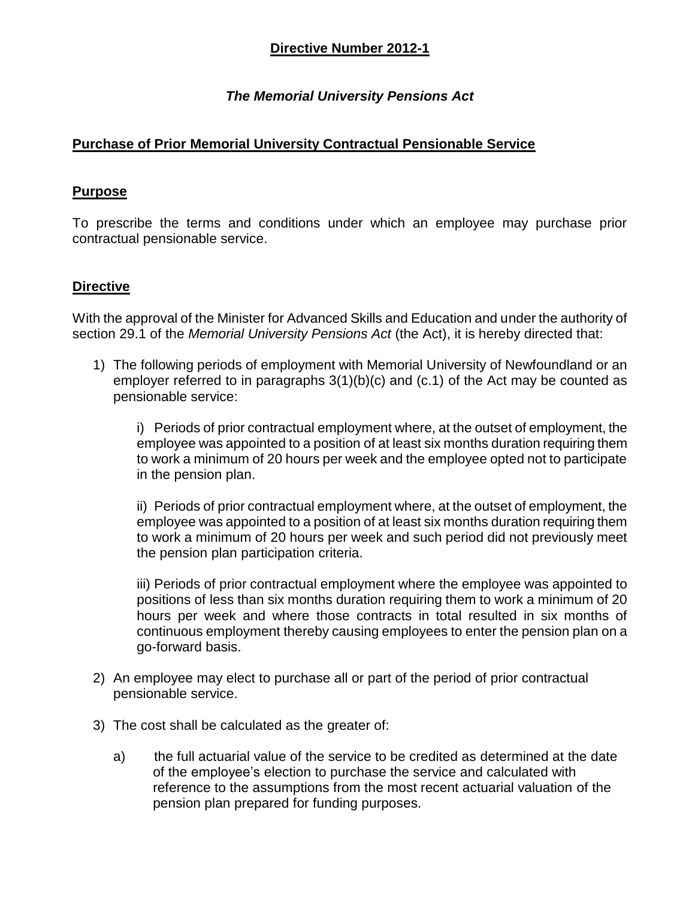# *The Memorial University Pensions Act*

# **Purchase of Prior Memorial University Contractual Pensionable Service**

#### **Purpose**

To prescribe the terms and conditions under which an employee may purchase prior contractual pensionable service.

### **Directive**

With the approval of the Minister for Advanced Skills and Education and under the authority of section 29.1 of the *Memorial University Pensions Act* (the Act), it is hereby directed that:

1) The following periods of employment with Memorial University of Newfoundland or an employer referred to in paragraphs 3(1)(b)(c) and (c.1) of the Act may be counted as pensionable service:

i) Periods of prior contractual employment where, at the outset of employment, the employee was appointed to a position of at least six months duration requiring them to work a minimum of 20 hours per week and the employee opted not to participate in the pension plan.

ii) Periods of prior contractual employment where, at the outset of employment, the employee was appointed to a position of at least six months duration requiring them to work a minimum of 20 hours per week and such period did not previously meet the pension plan participation criteria.

iii) Periods of prior contractual employment where the employee was appointed to positions of less than six months duration requiring them to work a minimum of 20 hours per week and where those contracts in total resulted in six months of continuous employment thereby causing employees to enter the pension plan on a go-forward basis.

- 2) An employee may elect to purchase all or part of the period of prior contractual pensionable service.
- 3) The cost shall be calculated as the greater of:
	- a) the full actuarial value of the service to be credited as determined at the date of the employee's election to purchase the service and calculated with reference to the assumptions from the most recent actuarial valuation of the pension plan prepared for funding purposes.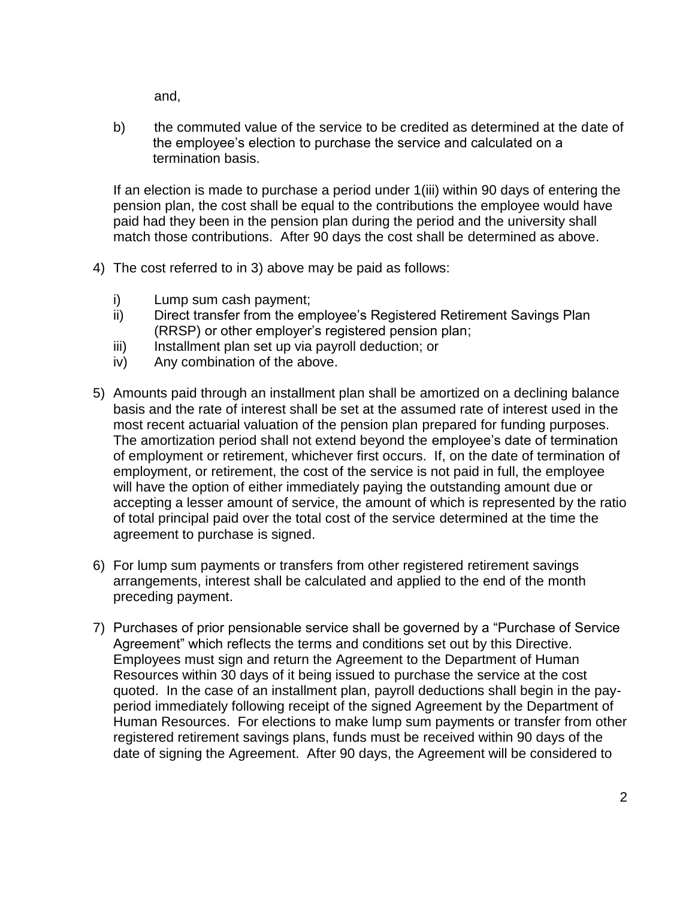and,

b) the commuted value of the service to be credited as determined at the date of the employee's election to purchase the service and calculated on a termination basis.

If an election is made to purchase a period under 1(iii) within 90 days of entering the pension plan, the cost shall be equal to the contributions the employee would have paid had they been in the pension plan during the period and the university shall match those contributions. After 90 days the cost shall be determined as above.

- 4) The cost referred to in 3) above may be paid as follows:
	- i) Lump sum cash payment;
	- ii) Direct transfer from the employee's Registered Retirement Savings Plan (RRSP) or other employer's registered pension plan;
	- iii) Installment plan set up via payroll deduction; or
	- iv) Any combination of the above.
- 5) Amounts paid through an installment plan shall be amortized on a declining balance basis and the rate of interest shall be set at the assumed rate of interest used in the most recent actuarial valuation of the pension plan prepared for funding purposes. The amortization period shall not extend beyond the employee's date of termination of employment or retirement, whichever first occurs. If, on the date of termination of employment, or retirement, the cost of the service is not paid in full, the employee will have the option of either immediately paying the outstanding amount due or accepting a lesser amount of service, the amount of which is represented by the ratio of total principal paid over the total cost of the service determined at the time the agreement to purchase is signed.
- 6) For lump sum payments or transfers from other registered retirement savings arrangements, interest shall be calculated and applied to the end of the month preceding payment.
- 7) Purchases of prior pensionable service shall be governed by a "Purchase of Service Agreement" which reflects the terms and conditions set out by this Directive. Employees must sign and return the Agreement to the Department of Human Resources within 30 days of it being issued to purchase the service at the cost quoted. In the case of an installment plan, payroll deductions shall begin in the payperiod immediately following receipt of the signed Agreement by the Department of Human Resources. For elections to make lump sum payments or transfer from other registered retirement savings plans, funds must be received within 90 days of the date of signing the Agreement. After 90 days, the Agreement will be considered to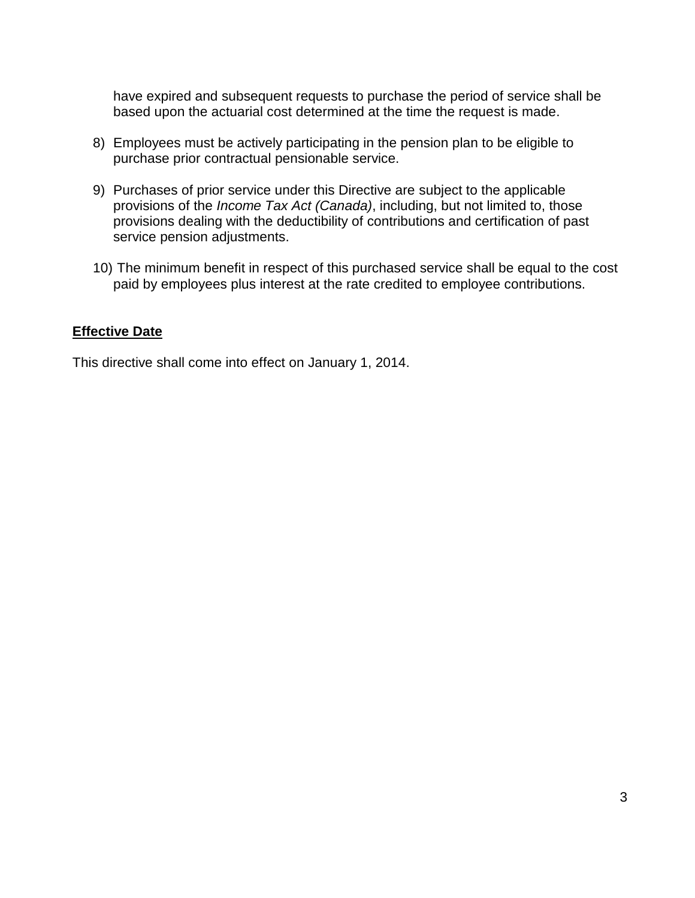have expired and subsequent requests to purchase the period of service shall be based upon the actuarial cost determined at the time the request is made.

- 8) Employees must be actively participating in the pension plan to be eligible to purchase prior contractual pensionable service.
- 9) Purchases of prior service under this Directive are subject to the applicable provisions of the *Income Tax Act (Canada)*, including, but not limited to, those provisions dealing with the deductibility of contributions and certification of past service pension adjustments.
- 10) The minimum benefit in respect of this purchased service shall be equal to the cost paid by employees plus interest at the rate credited to employee contributions.

### **Effective Date**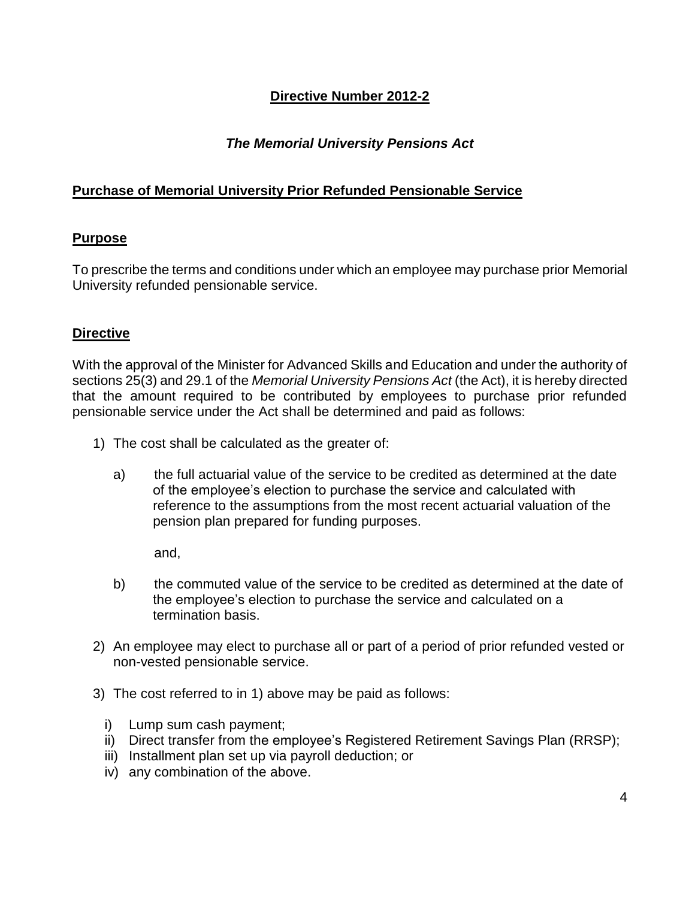# *The Memorial University Pensions Act*

# **Purchase of Memorial University Prior Refunded Pensionable Service**

# **Purpose**

To prescribe the terms and conditions under which an employee may purchase prior Memorial University refunded pensionable service.

# **Directive**

With the approval of the Minister for Advanced Skills and Education and under the authority of sections 25(3) and 29.1 of the *Memorial University Pensions Act* (the Act), it is hereby directed that the amount required to be contributed by employees to purchase prior refunded pensionable service under the Act shall be determined and paid as follows:

- 1) The cost shall be calculated as the greater of:
	- a) the full actuarial value of the service to be credited as determined at the date of the employee's election to purchase the service and calculated with reference to the assumptions from the most recent actuarial valuation of the pension plan prepared for funding purposes.

and,

- b) the commuted value of the service to be credited as determined at the date of the employee's election to purchase the service and calculated on a termination basis.
- 2) An employee may elect to purchase all or part of a period of prior refunded vested or non-vested pensionable service.
- 3) The cost referred to in 1) above may be paid as follows:
	- i) Lump sum cash payment;
	- ii) Direct transfer from the employee's Registered Retirement Savings Plan (RRSP);
	- iii) Installment plan set up via payroll deduction; or
	- iv) any combination of the above.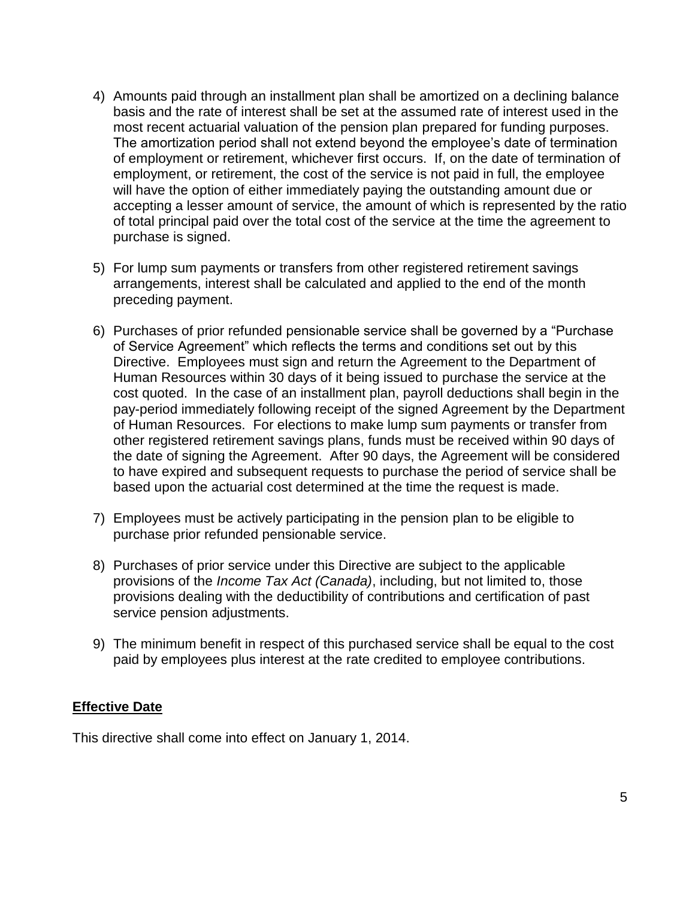- 4) Amounts paid through an installment plan shall be amortized on a declining balance basis and the rate of interest shall be set at the assumed rate of interest used in the most recent actuarial valuation of the pension plan prepared for funding purposes. The amortization period shall not extend beyond the employee's date of termination of employment or retirement, whichever first occurs. If, on the date of termination of employment, or retirement, the cost of the service is not paid in full, the employee will have the option of either immediately paying the outstanding amount due or accepting a lesser amount of service, the amount of which is represented by the ratio of total principal paid over the total cost of the service at the time the agreement to purchase is signed.
- 5) For lump sum payments or transfers from other registered retirement savings arrangements, interest shall be calculated and applied to the end of the month preceding payment.
- 6) Purchases of prior refunded pensionable service shall be governed by a "Purchase of Service Agreement" which reflects the terms and conditions set out by this Directive. Employees must sign and return the Agreement to the Department of Human Resources within 30 days of it being issued to purchase the service at the cost quoted. In the case of an installment plan, payroll deductions shall begin in the pay-period immediately following receipt of the signed Agreement by the Department of Human Resources. For elections to make lump sum payments or transfer from other registered retirement savings plans, funds must be received within 90 days of the date of signing the Agreement. After 90 days, the Agreement will be considered to have expired and subsequent requests to purchase the period of service shall be based upon the actuarial cost determined at the time the request is made.
- 7) Employees must be actively participating in the pension plan to be eligible to purchase prior refunded pensionable service.
- 8) Purchases of prior service under this Directive are subject to the applicable provisions of the *Income Tax Act (Canada)*, including, but not limited to, those provisions dealing with the deductibility of contributions and certification of past service pension adjustments.
- 9) The minimum benefit in respect of this purchased service shall be equal to the cost paid by employees plus interest at the rate credited to employee contributions.

# **Effective Date**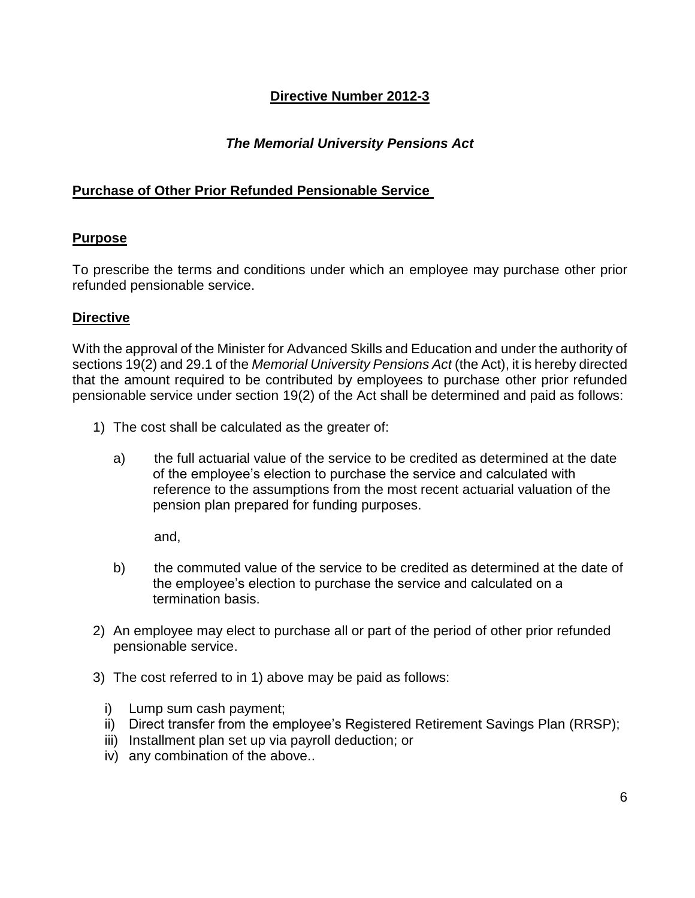# *The Memorial University Pensions Act*

### **Purchase of Other Prior Refunded Pensionable Service**

#### **Purpose**

To prescribe the terms and conditions under which an employee may purchase other prior refunded pensionable service.

#### **Directive**

With the approval of the Minister for Advanced Skills and Education and under the authority of sections 19(2) and 29.1 of the *Memorial University Pensions Act* (the Act), it is hereby directed that the amount required to be contributed by employees to purchase other prior refunded pensionable service under section 19(2) of the Act shall be determined and paid as follows:

- 1) The cost shall be calculated as the greater of:
	- a) the full actuarial value of the service to be credited as determined at the date of the employee's election to purchase the service and calculated with reference to the assumptions from the most recent actuarial valuation of the pension plan prepared for funding purposes.

and,

- b) the commuted value of the service to be credited as determined at the date of the employee's election to purchase the service and calculated on a termination basis.
- 2) An employee may elect to purchase all or part of the period of other prior refunded pensionable service.
- 3) The cost referred to in 1) above may be paid as follows:
	- i) Lump sum cash payment;
	- ii) Direct transfer from the employee's Registered Retirement Savings Plan (RRSP);
	- iii) Installment plan set up via payroll deduction; or
	- iv) any combination of the above..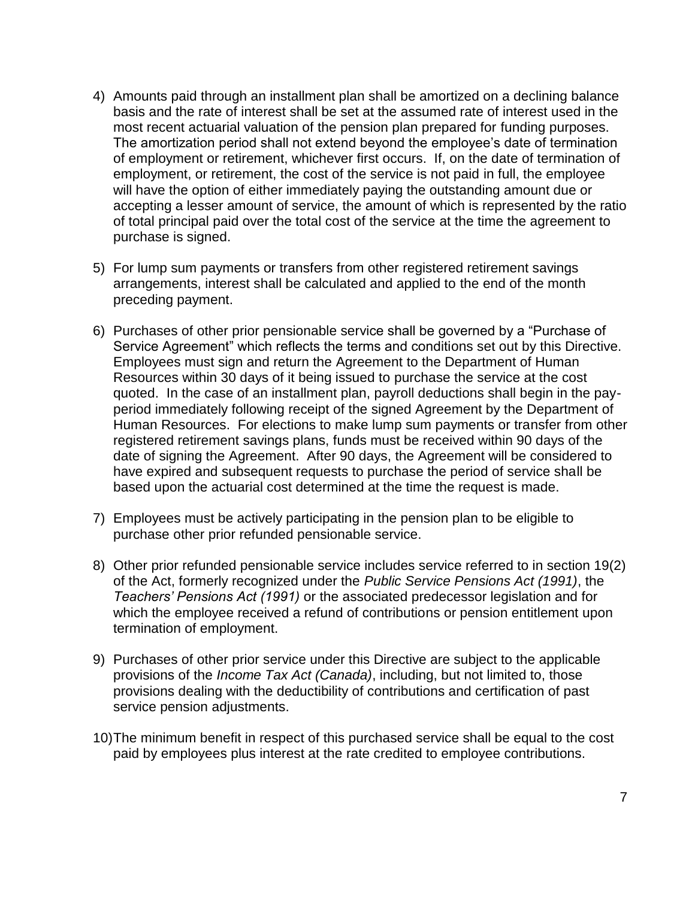- 4) Amounts paid through an installment plan shall be amortized on a declining balance basis and the rate of interest shall be set at the assumed rate of interest used in the most recent actuarial valuation of the pension plan prepared for funding purposes. The amortization period shall not extend beyond the employee's date of termination of employment or retirement, whichever first occurs. If, on the date of termination of employment, or retirement, the cost of the service is not paid in full, the employee will have the option of either immediately paying the outstanding amount due or accepting a lesser amount of service, the amount of which is represented by the ratio of total principal paid over the total cost of the service at the time the agreement to purchase is signed.
- 5) For lump sum payments or transfers from other registered retirement savings arrangements, interest shall be calculated and applied to the end of the month preceding payment.
- 6) Purchases of other prior pensionable service shall be governed by a "Purchase of Service Agreement" which reflects the terms and conditions set out by this Directive. Employees must sign and return the Agreement to the Department of Human Resources within 30 days of it being issued to purchase the service at the cost quoted. In the case of an installment plan, payroll deductions shall begin in the payperiod immediately following receipt of the signed Agreement by the Department of Human Resources. For elections to make lump sum payments or transfer from other registered retirement savings plans, funds must be received within 90 days of the date of signing the Agreement. After 90 days, the Agreement will be considered to have expired and subsequent requests to purchase the period of service shall be based upon the actuarial cost determined at the time the request is made.
- 7) Employees must be actively participating in the pension plan to be eligible to purchase other prior refunded pensionable service.
- 8) Other prior refunded pensionable service includes service referred to in section 19(2) of the Act, formerly recognized under the *Public Service Pensions Act (1991)*, the *Teachers' Pensions Act (1991)* or the associated predecessor legislation and for which the employee received a refund of contributions or pension entitlement upon termination of employment.
- 9) Purchases of other prior service under this Directive are subject to the applicable provisions of the *Income Tax Act (Canada)*, including, but not limited to, those provisions dealing with the deductibility of contributions and certification of past service pension adjustments.
- 10)The minimum benefit in respect of this purchased service shall be equal to the cost paid by employees plus interest at the rate credited to employee contributions.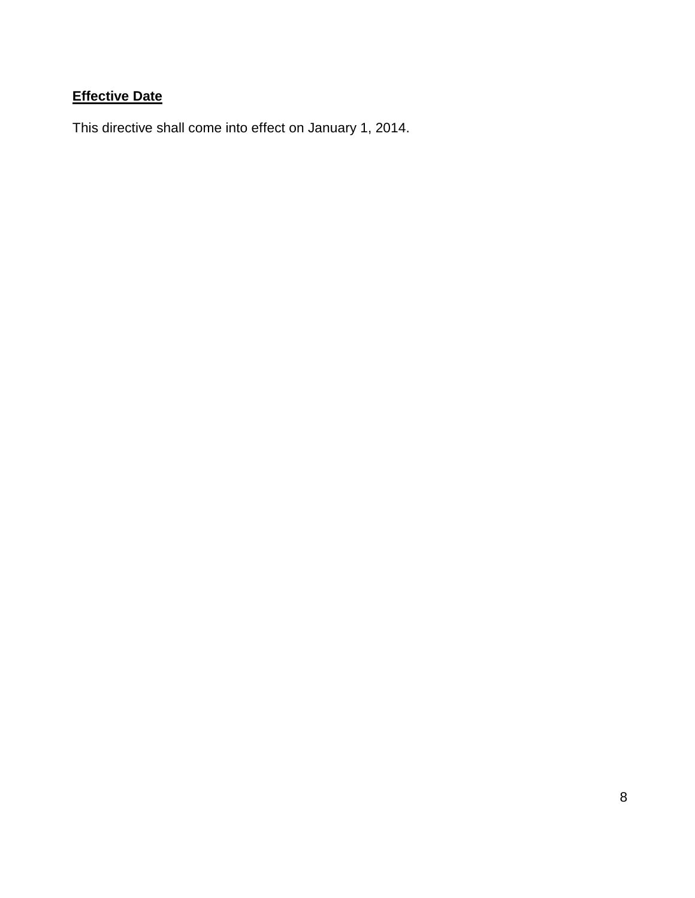# **Effective Date**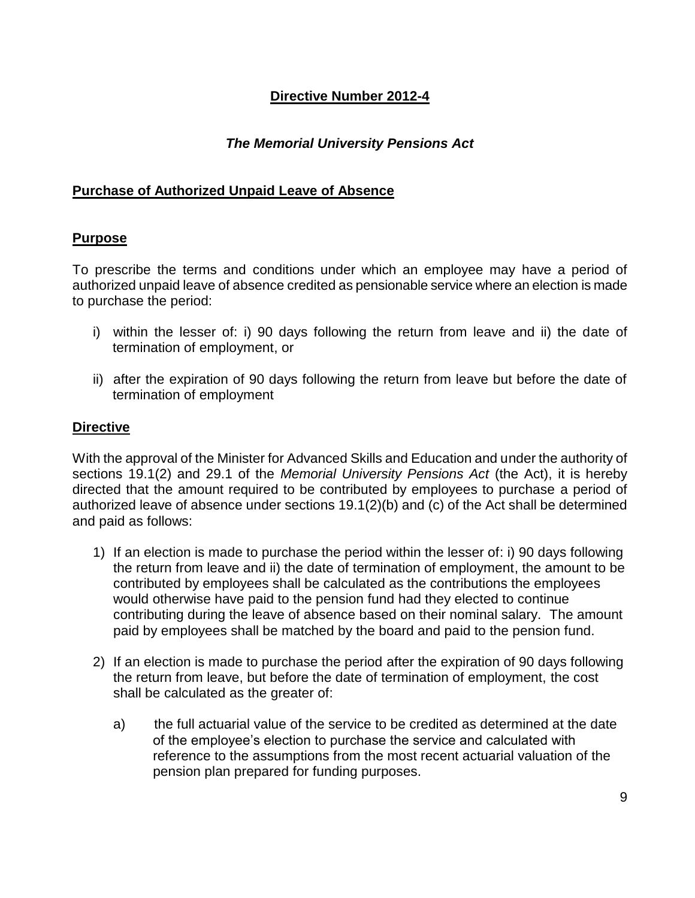# *The Memorial University Pensions Act*

### **Purchase of Authorized Unpaid Leave of Absence**

### **Purpose**

To prescribe the terms and conditions under which an employee may have a period of authorized unpaid leave of absence credited as pensionable service where an election is made to purchase the period:

- i) within the lesser of: i) 90 days following the return from leave and ii) the date of termination of employment, or
- ii) after the expiration of 90 days following the return from leave but before the date of termination of employment

#### **Directive**

With the approval of the Minister for Advanced Skills and Education and under the authority of sections 19.1(2) and 29.1 of the *Memorial University Pensions Act* (the Act), it is hereby directed that the amount required to be contributed by employees to purchase a period of authorized leave of absence under sections 19.1(2)(b) and (c) of the Act shall be determined and paid as follows:

- 1) If an election is made to purchase the period within the lesser of: i) 90 days following the return from leave and ii) the date of termination of employment, the amount to be contributed by employees shall be calculated as the contributions the employees would otherwise have paid to the pension fund had they elected to continue contributing during the leave of absence based on their nominal salary. The amount paid by employees shall be matched by the board and paid to the pension fund.
- 2) If an election is made to purchase the period after the expiration of 90 days following the return from leave, but before the date of termination of employment, the cost shall be calculated as the greater of:
	- a) the full actuarial value of the service to be credited as determined at the date of the employee's election to purchase the service and calculated with reference to the assumptions from the most recent actuarial valuation of the pension plan prepared for funding purposes.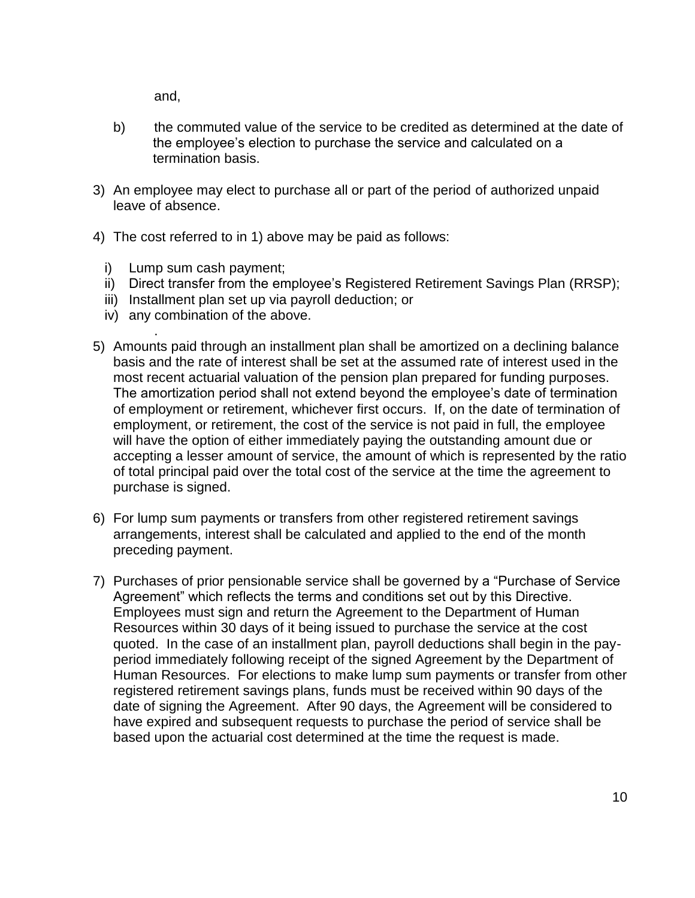and,

- b) the commuted value of the service to be credited as determined at the date of the employee's election to purchase the service and calculated on a termination basis.
- 3) An employee may elect to purchase all or part of the period of authorized unpaid leave of absence.
- 4) The cost referred to in 1) above may be paid as follows:
	- i) Lump sum cash payment;
	- ii) Direct transfer from the employee's Registered Retirement Savings Plan (RRSP);
	- iii) Installment plan set up via payroll deduction; or
	- iv) any combination of the above.
- . 5) Amounts paid through an installment plan shall be amortized on a declining balance basis and the rate of interest shall be set at the assumed rate of interest used in the most recent actuarial valuation of the pension plan prepared for funding purposes. The amortization period shall not extend beyond the employee's date of termination of employment or retirement, whichever first occurs. If, on the date of termination of employment, or retirement, the cost of the service is not paid in full, the employee will have the option of either immediately paying the outstanding amount due or accepting a lesser amount of service, the amount of which is represented by the ratio of total principal paid over the total cost of the service at the time the agreement to purchase is signed.
- 6) For lump sum payments or transfers from other registered retirement savings arrangements, interest shall be calculated and applied to the end of the month preceding payment.
- 7) Purchases of prior pensionable service shall be governed by a "Purchase of Service Agreement" which reflects the terms and conditions set out by this Directive. Employees must sign and return the Agreement to the Department of Human Resources within 30 days of it being issued to purchase the service at the cost quoted. In the case of an installment plan, payroll deductions shall begin in the payperiod immediately following receipt of the signed Agreement by the Department of Human Resources. For elections to make lump sum payments or transfer from other registered retirement savings plans, funds must be received within 90 days of the date of signing the Agreement. After 90 days, the Agreement will be considered to have expired and subsequent requests to purchase the period of service shall be based upon the actuarial cost determined at the time the request is made.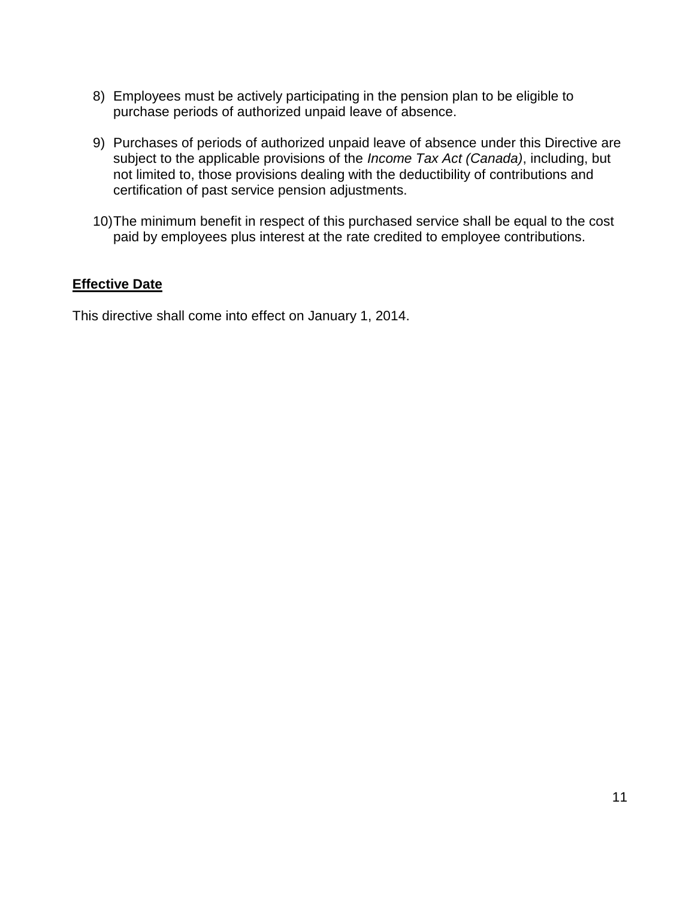- 8) Employees must be actively participating in the pension plan to be eligible to purchase periods of authorized unpaid leave of absence.
- 9) Purchases of periods of authorized unpaid leave of absence under this Directive are subject to the applicable provisions of the *Income Tax Act (Canada)*, including, but not limited to, those provisions dealing with the deductibility of contributions and certification of past service pension adjustments.
- 10) The minimum benefit in respect of this purchased service shall be equal to the cost paid by employees plus interest at the rate credited to employee contributions.

# **Effective Date**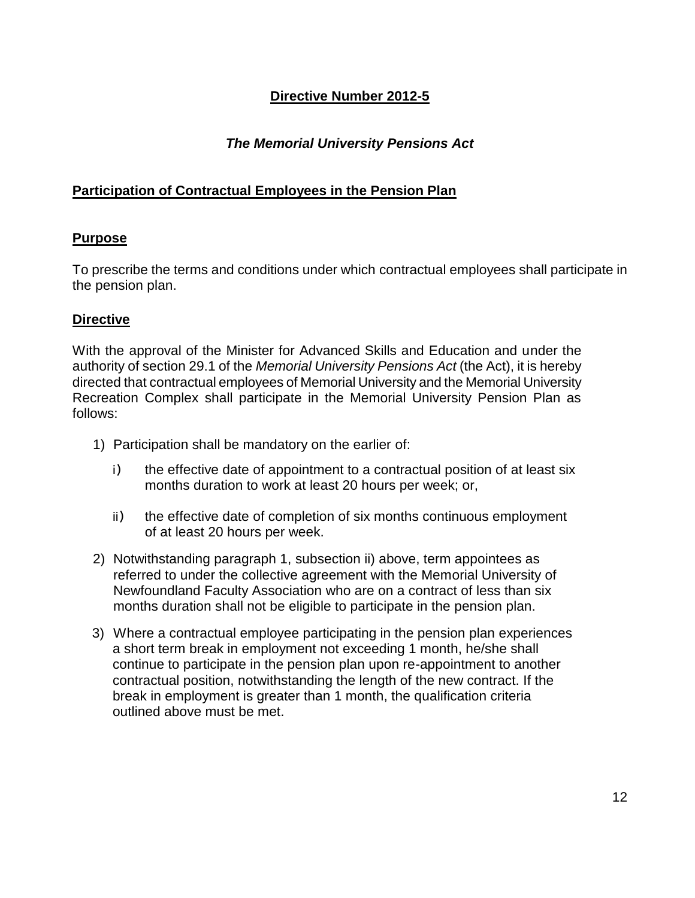# *The Memorial University Pensions Act*

## **Participation of Contractual Employees in the Pension Plan**

#### **Purpose**

To prescribe the terms and conditions under which contractual employees shall participate in the pension plan.

#### **Directive**

With the approval of the Minister for Advanced Skills and Education and under the authority of section 29.1 of the *Memorial University Pensions Act* (the Act), it is hereby directed that contractual employees of Memorial University and the Memorial University Recreation Complex shall participate in the Memorial University Pension Plan as follows:

- 1) Participation shall be mandatory on the earlier of:
	- i) the effective date of appointment to a contractual position of at least six months duration to work at least 20 hours per week; or,
	- ii) the effective date of completion of six months continuous employment of at least 20 hours per week.
- 2) Notwithstanding paragraph 1, subsection ii) above, term appointees as referred to under the collective agreement with the Memorial University of Newfoundland Faculty Association who are on a contract of less than six months duration shall not be eligible to participate in the pension plan.
- 3) Where a contractual employee participating in the pension plan experiences a short term break in employment not exceeding 1 month, he/she shall continue to participate in the pension plan upon re-appointment to another contractual position, notwithstanding the length of the new contract. If the break in employment is greater than 1 month, the qualification criteria outlined above must be met.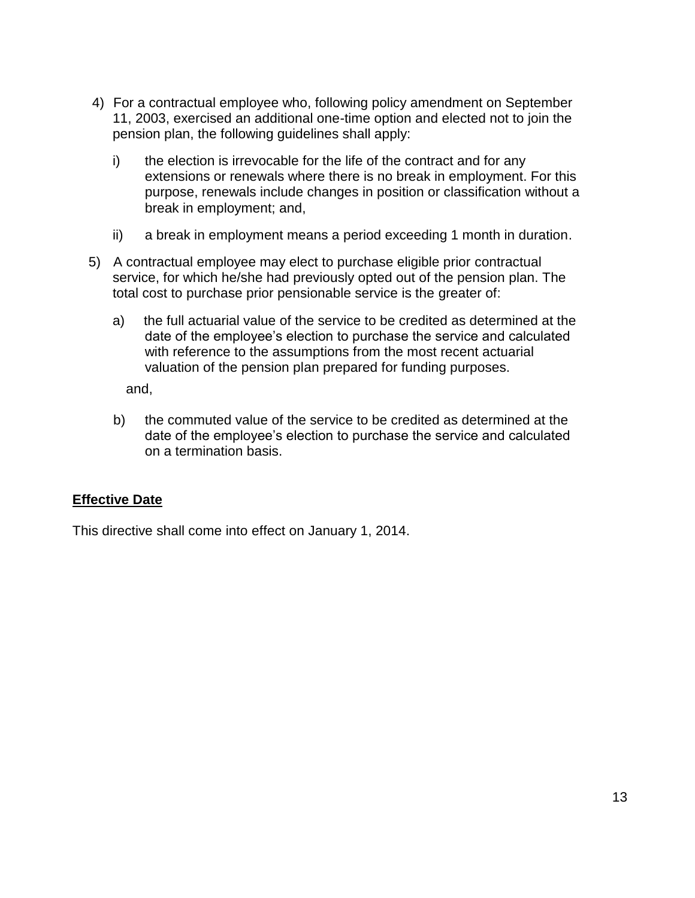- 4) For a contractual employee who, following policy amendment on September 11, 2003, exercised an additional one-time option and elected not to join the pension plan, the following guidelines shall apply:
	- i) the election is irrevocable for the life of the contract and for any extensions or renewals where there is no break in employment. For this purpose, renewals include changes in position or classification without a break in employment; and,
	- ii) a break in employment means a period exceeding 1 month in duration.
- 5) A contractual employee may elect to purchase eligible prior contractual service, for which he/she had previously opted out of the pension plan. The total cost to purchase prior pensionable service is the greater of:
	- a) the full actuarial value of the service to be credited as determined at the date of the employee's election to purchase the service and calculated with reference to the assumptions from the most recent actuarial valuation of the pension plan prepared for funding purposes.

and,

b) the commuted value of the service to be credited as determined at the date of the employee's election to purchase the service and calculated on a termination basis.

# **Effective Date**